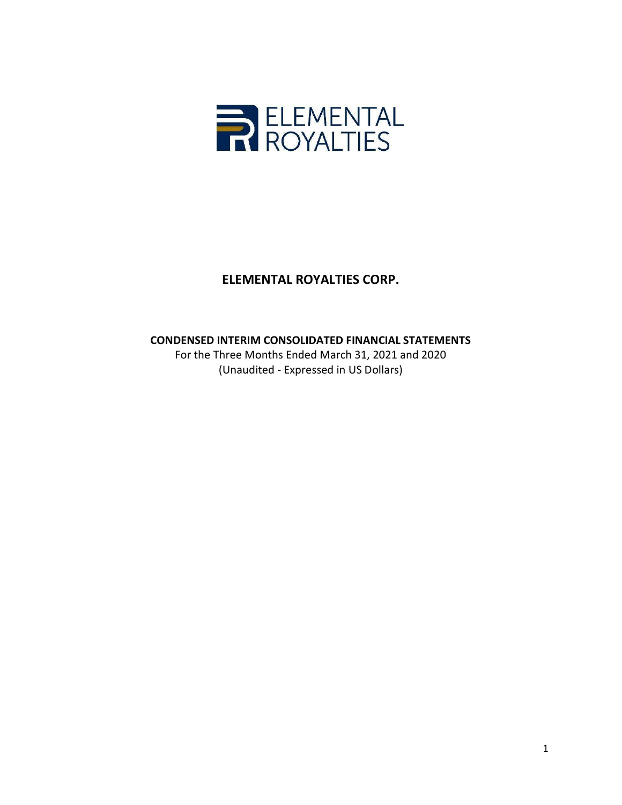

# CONDENSED INTERIM CONSOLIDATED FINANCIAL STATEMENTS

For the Three Months Ended March 31, 2021 and 2020 (Unaudited - Expressed in US Dollars)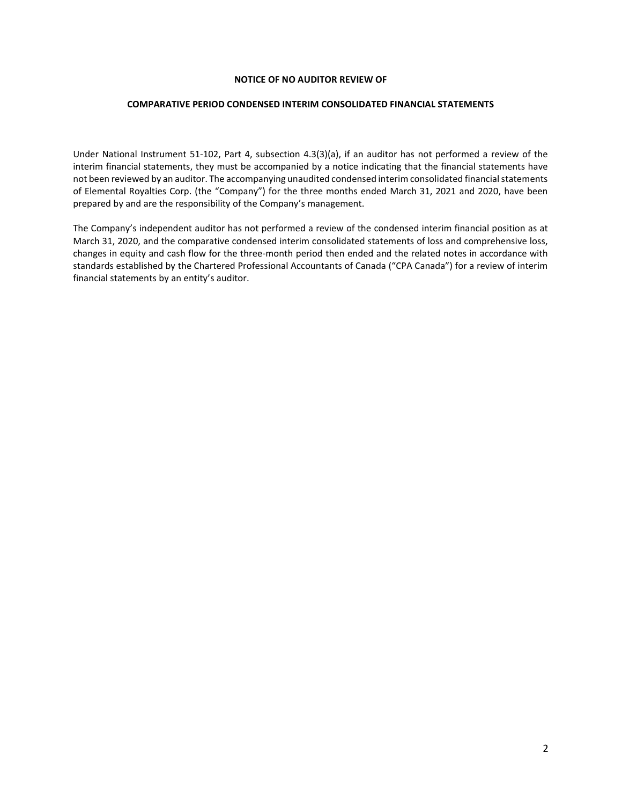#### NOTICE OF NO AUDITOR REVIEW OF

#### COMPARATIVE PERIOD CONDENSED INTERIM CONSOLIDATED FINANCIAL STATEMENTS

Under National Instrument 51-102, Part 4, subsection 4.3(3)(a), if an auditor has not performed a review of the interim financial statements, they must be accompanied by a notice indicating that the financial statements have not been reviewed by an auditor. The accompanying unaudited condensed interim consolidated financial statements of Elemental Royalties Corp. (the "Company") for the three months ended March 31, 2021 and 2020, have been prepared by and are the responsibility of the Company's management.

The Company's independent auditor has not performed a review of the condensed interim financial position as at March 31, 2020, and the comparative condensed interim consolidated statements of loss and comprehensive loss, changes in equity and cash flow for the three-month period then ended and the related notes in accordance with standards established by the Chartered Professional Accountants of Canada ("CPA Canada") for a review of interim financial statements by an entity's auditor.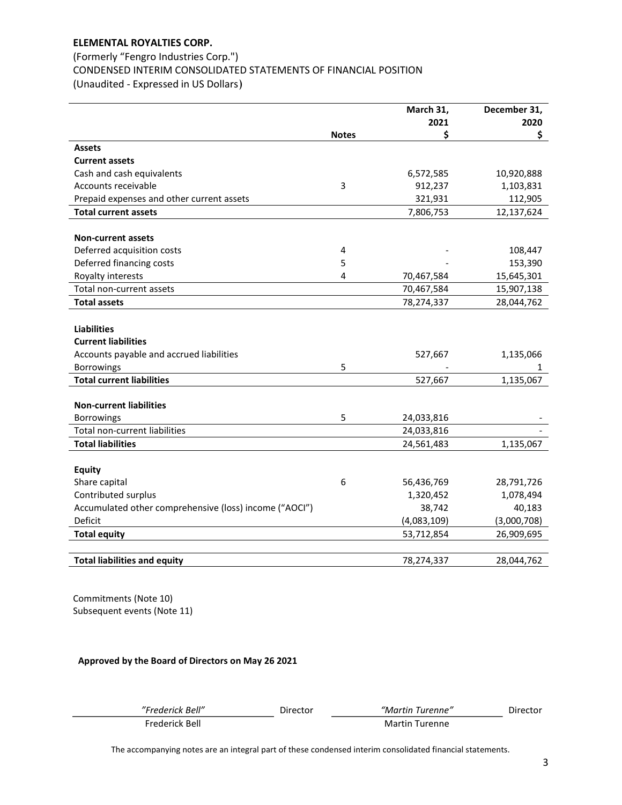# (Formerly "Fengro Industries Corp.") CONDENSED INTERIM CONSOLIDATED STATEMENTS OF FINANCIAL POSITION (Unaudited - Expressed in US Dollars)

|                                                        |              | March 31,   | December 31, |
|--------------------------------------------------------|--------------|-------------|--------------|
|                                                        |              | 2021        | 2020         |
|                                                        | <b>Notes</b> | \$          | \$           |
| <b>Assets</b>                                          |              |             |              |
| <b>Current assets</b>                                  |              |             |              |
| Cash and cash equivalents                              |              | 6,572,585   | 10,920,888   |
| Accounts receivable                                    | 3            | 912,237     | 1,103,831    |
| Prepaid expenses and other current assets              |              | 321,931     | 112,905      |
| <b>Total current assets</b>                            |              | 7,806,753   | 12,137,624   |
|                                                        |              |             |              |
| <b>Non-current assets</b>                              |              |             |              |
| Deferred acquisition costs                             | 4            |             | 108,447      |
| Deferred financing costs                               | 5            |             | 153,390      |
| Royalty interests                                      | 4            | 70,467,584  | 15,645,301   |
| Total non-current assets                               |              | 70,467,584  | 15,907,138   |
| <b>Total assets</b>                                    |              | 78,274,337  | 28,044,762   |
|                                                        |              |             |              |
| <b>Liabilities</b>                                     |              |             |              |
| <b>Current liabilities</b>                             |              |             |              |
| Accounts payable and accrued liabilities               |              | 527,667     | 1,135,066    |
| Borrowings                                             | 5            |             | $\mathbf{1}$ |
| <b>Total current liabilities</b>                       |              | 527,667     | 1,135,067    |
|                                                        |              |             |              |
| <b>Non-current liabilities</b>                         |              |             |              |
| <b>Borrowings</b>                                      | 5            | 24,033,816  |              |
| Total non-current liabilities                          |              | 24,033,816  |              |
| <b>Total liabilities</b>                               |              | 24,561,483  | 1,135,067    |
|                                                        |              |             |              |
| <b>Equity</b>                                          |              |             |              |
| Share capital                                          | 6            | 56,436,769  | 28,791,726   |
| Contributed surplus                                    |              | 1,320,452   | 1,078,494    |
| Accumulated other comprehensive (loss) income ("AOCI") |              | 38,742      | 40,183       |
| Deficit                                                |              | (4,083,109) | (3,000,708)  |
| <b>Total equity</b>                                    |              | 53,712,854  | 26,909,695   |
|                                                        |              |             |              |
| <b>Total liabilities and equity</b>                    |              | 78,274,337  | 28,044,762   |

Commitments (Note 10) Subsequent events (Note 11)

Approved by the Board of Directors on May 26 2021

| "Frederick Bell" | Director | "Martin Turenne" | Director |
|------------------|----------|------------------|----------|
| Frederick Bell   |          | Martin Turenne   |          |

The accompanying notes are an integral part of these condensed interim consolidated financial statements.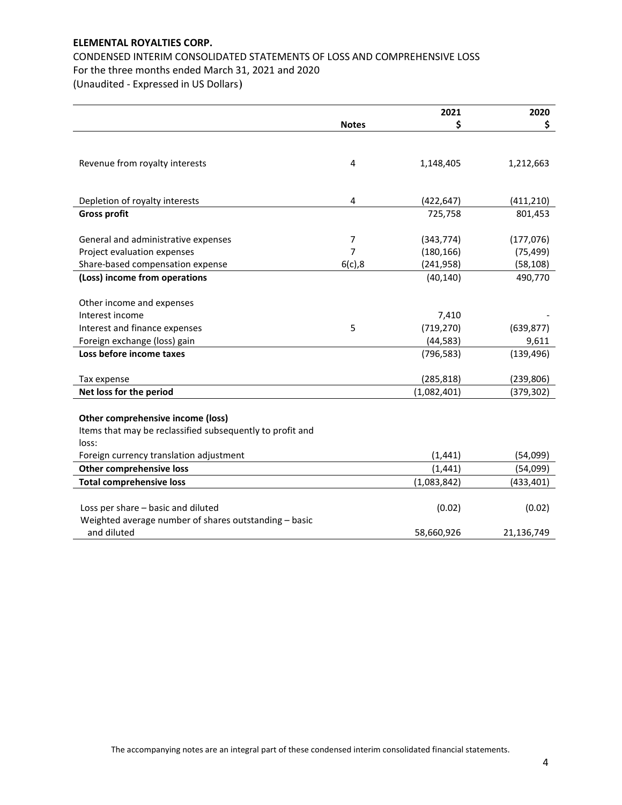CONDENSED INTERIM CONSOLIDATED STATEMENTS OF LOSS AND COMPREHENSIVE LOSS For the three months ended March 31, 2021 and 2020 (Unaudited - Expressed in US Dollars)

| \$<br>\$<br><b>Notes</b><br>Revenue from royalty interests<br>$\overline{4}$<br>1,148,405<br>1,212,663<br>Depletion of royalty interests<br>$\overline{4}$<br>(422, 647)<br>(411, 210)<br><b>Gross profit</b><br>801,453<br>725,758<br>7<br>General and administrative expenses<br>(343, 774)<br>(177, 076)<br>Project evaluation expenses<br>7<br>(180, 166)<br>(75, 499)<br>Share-based compensation expense<br>6(c), 8<br>(58, 108)<br>(241, 958)<br>(Loss) income from operations<br>(40, 140)<br>490,770<br>Other income and expenses<br>Interest income<br>7,410<br>(719, 270)<br>Interest and finance expenses<br>5<br>(639, 877)<br>Foreign exchange (loss) gain<br>(44, 583)<br>9,611<br>Loss before income taxes<br>(139, 496)<br>(796, 583)<br>(239, 806)<br>(285, 818)<br>Tax expense<br>Net loss for the period<br>(1,082,401)<br>(379, 302)<br>Other comprehensive income (loss)<br>Items that may be reclassified subsequently to profit and<br>loss:<br>(1, 441)<br>Foreign currency translation adjustment<br>(54,099)<br>Other comprehensive loss<br>(1, 441)<br>(54,099)<br><b>Total comprehensive loss</b><br>(1,083,842)<br>(433, 401)<br>Loss per share - basic and diluted<br>(0.02)<br>(0.02)<br>Weighted average number of shares outstanding - basic<br>and diluted<br>58,660,926<br>21,136,749 |  | 2021 | 2020 |
|---------------------------------------------------------------------------------------------------------------------------------------------------------------------------------------------------------------------------------------------------------------------------------------------------------------------------------------------------------------------------------------------------------------------------------------------------------------------------------------------------------------------------------------------------------------------------------------------------------------------------------------------------------------------------------------------------------------------------------------------------------------------------------------------------------------------------------------------------------------------------------------------------------------------------------------------------------------------------------------------------------------------------------------------------------------------------------------------------------------------------------------------------------------------------------------------------------------------------------------------------------------------------------------------------------------------------|--|------|------|
|                                                                                                                                                                                                                                                                                                                                                                                                                                                                                                                                                                                                                                                                                                                                                                                                                                                                                                                                                                                                                                                                                                                                                                                                                                                                                                                           |  |      |      |
|                                                                                                                                                                                                                                                                                                                                                                                                                                                                                                                                                                                                                                                                                                                                                                                                                                                                                                                                                                                                                                                                                                                                                                                                                                                                                                                           |  |      |      |
|                                                                                                                                                                                                                                                                                                                                                                                                                                                                                                                                                                                                                                                                                                                                                                                                                                                                                                                                                                                                                                                                                                                                                                                                                                                                                                                           |  |      |      |
|                                                                                                                                                                                                                                                                                                                                                                                                                                                                                                                                                                                                                                                                                                                                                                                                                                                                                                                                                                                                                                                                                                                                                                                                                                                                                                                           |  |      |      |
|                                                                                                                                                                                                                                                                                                                                                                                                                                                                                                                                                                                                                                                                                                                                                                                                                                                                                                                                                                                                                                                                                                                                                                                                                                                                                                                           |  |      |      |
|                                                                                                                                                                                                                                                                                                                                                                                                                                                                                                                                                                                                                                                                                                                                                                                                                                                                                                                                                                                                                                                                                                                                                                                                                                                                                                                           |  |      |      |
|                                                                                                                                                                                                                                                                                                                                                                                                                                                                                                                                                                                                                                                                                                                                                                                                                                                                                                                                                                                                                                                                                                                                                                                                                                                                                                                           |  |      |      |
|                                                                                                                                                                                                                                                                                                                                                                                                                                                                                                                                                                                                                                                                                                                                                                                                                                                                                                                                                                                                                                                                                                                                                                                                                                                                                                                           |  |      |      |
|                                                                                                                                                                                                                                                                                                                                                                                                                                                                                                                                                                                                                                                                                                                                                                                                                                                                                                                                                                                                                                                                                                                                                                                                                                                                                                                           |  |      |      |
|                                                                                                                                                                                                                                                                                                                                                                                                                                                                                                                                                                                                                                                                                                                                                                                                                                                                                                                                                                                                                                                                                                                                                                                                                                                                                                                           |  |      |      |
|                                                                                                                                                                                                                                                                                                                                                                                                                                                                                                                                                                                                                                                                                                                                                                                                                                                                                                                                                                                                                                                                                                                                                                                                                                                                                                                           |  |      |      |
|                                                                                                                                                                                                                                                                                                                                                                                                                                                                                                                                                                                                                                                                                                                                                                                                                                                                                                                                                                                                                                                                                                                                                                                                                                                                                                                           |  |      |      |
|                                                                                                                                                                                                                                                                                                                                                                                                                                                                                                                                                                                                                                                                                                                                                                                                                                                                                                                                                                                                                                                                                                                                                                                                                                                                                                                           |  |      |      |
|                                                                                                                                                                                                                                                                                                                                                                                                                                                                                                                                                                                                                                                                                                                                                                                                                                                                                                                                                                                                                                                                                                                                                                                                                                                                                                                           |  |      |      |
|                                                                                                                                                                                                                                                                                                                                                                                                                                                                                                                                                                                                                                                                                                                                                                                                                                                                                                                                                                                                                                                                                                                                                                                                                                                                                                                           |  |      |      |
|                                                                                                                                                                                                                                                                                                                                                                                                                                                                                                                                                                                                                                                                                                                                                                                                                                                                                                                                                                                                                                                                                                                                                                                                                                                                                                                           |  |      |      |
|                                                                                                                                                                                                                                                                                                                                                                                                                                                                                                                                                                                                                                                                                                                                                                                                                                                                                                                                                                                                                                                                                                                                                                                                                                                                                                                           |  |      |      |
|                                                                                                                                                                                                                                                                                                                                                                                                                                                                                                                                                                                                                                                                                                                                                                                                                                                                                                                                                                                                                                                                                                                                                                                                                                                                                                                           |  |      |      |
|                                                                                                                                                                                                                                                                                                                                                                                                                                                                                                                                                                                                                                                                                                                                                                                                                                                                                                                                                                                                                                                                                                                                                                                                                                                                                                                           |  |      |      |
|                                                                                                                                                                                                                                                                                                                                                                                                                                                                                                                                                                                                                                                                                                                                                                                                                                                                                                                                                                                                                                                                                                                                                                                                                                                                                                                           |  |      |      |
|                                                                                                                                                                                                                                                                                                                                                                                                                                                                                                                                                                                                                                                                                                                                                                                                                                                                                                                                                                                                                                                                                                                                                                                                                                                                                                                           |  |      |      |
|                                                                                                                                                                                                                                                                                                                                                                                                                                                                                                                                                                                                                                                                                                                                                                                                                                                                                                                                                                                                                                                                                                                                                                                                                                                                                                                           |  |      |      |
|                                                                                                                                                                                                                                                                                                                                                                                                                                                                                                                                                                                                                                                                                                                                                                                                                                                                                                                                                                                                                                                                                                                                                                                                                                                                                                                           |  |      |      |
|                                                                                                                                                                                                                                                                                                                                                                                                                                                                                                                                                                                                                                                                                                                                                                                                                                                                                                                                                                                                                                                                                                                                                                                                                                                                                                                           |  |      |      |
|                                                                                                                                                                                                                                                                                                                                                                                                                                                                                                                                                                                                                                                                                                                                                                                                                                                                                                                                                                                                                                                                                                                                                                                                                                                                                                                           |  |      |      |
|                                                                                                                                                                                                                                                                                                                                                                                                                                                                                                                                                                                                                                                                                                                                                                                                                                                                                                                                                                                                                                                                                                                                                                                                                                                                                                                           |  |      |      |
|                                                                                                                                                                                                                                                                                                                                                                                                                                                                                                                                                                                                                                                                                                                                                                                                                                                                                                                                                                                                                                                                                                                                                                                                                                                                                                                           |  |      |      |
|                                                                                                                                                                                                                                                                                                                                                                                                                                                                                                                                                                                                                                                                                                                                                                                                                                                                                                                                                                                                                                                                                                                                                                                                                                                                                                                           |  |      |      |
|                                                                                                                                                                                                                                                                                                                                                                                                                                                                                                                                                                                                                                                                                                                                                                                                                                                                                                                                                                                                                                                                                                                                                                                                                                                                                                                           |  |      |      |
|                                                                                                                                                                                                                                                                                                                                                                                                                                                                                                                                                                                                                                                                                                                                                                                                                                                                                                                                                                                                                                                                                                                                                                                                                                                                                                                           |  |      |      |
|                                                                                                                                                                                                                                                                                                                                                                                                                                                                                                                                                                                                                                                                                                                                                                                                                                                                                                                                                                                                                                                                                                                                                                                                                                                                                                                           |  |      |      |
|                                                                                                                                                                                                                                                                                                                                                                                                                                                                                                                                                                                                                                                                                                                                                                                                                                                                                                                                                                                                                                                                                                                                                                                                                                                                                                                           |  |      |      |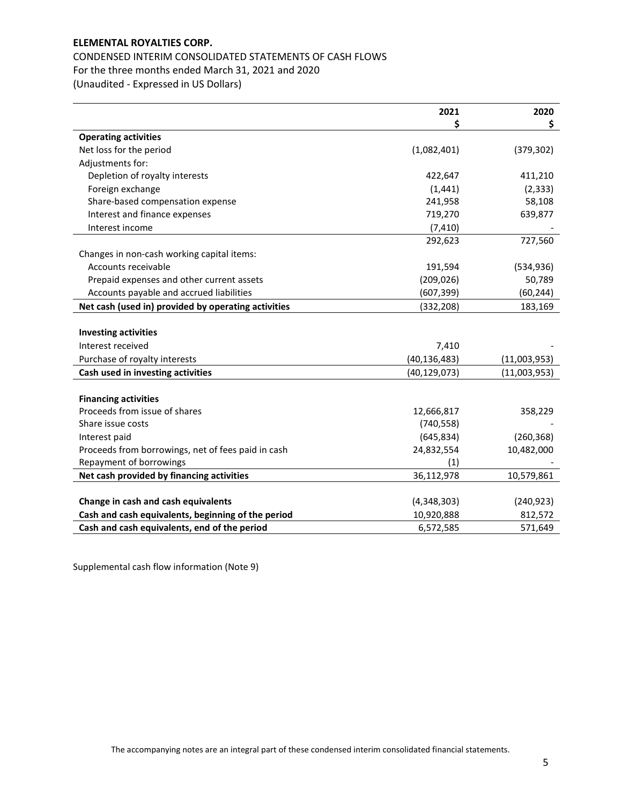# CONDENSED INTERIM CONSOLIDATED STATEMENTS OF CASH FLOWS For the three months ended March 31, 2021 and 2020 (Unaudited - Expressed in US Dollars)

|                                                     | 2021           | 2020         |
|-----------------------------------------------------|----------------|--------------|
|                                                     | \$             | \$.          |
| <b>Operating activities</b>                         |                |              |
| Net loss for the period                             | (1,082,401)    | (379, 302)   |
| Adjustments for:                                    |                |              |
| Depletion of royalty interests                      | 422,647        | 411,210      |
| Foreign exchange                                    | (1, 441)       | (2, 333)     |
| Share-based compensation expense                    | 241,958        | 58,108       |
| Interest and finance expenses                       | 719,270        | 639,877      |
| Interest income                                     | (7, 410)       |              |
|                                                     | 292,623        | 727,560      |
| Changes in non-cash working capital items:          |                |              |
| Accounts receivable                                 | 191,594        | (534, 936)   |
| Prepaid expenses and other current assets           | (209, 026)     | 50,789       |
| Accounts payable and accrued liabilities            | (607, 399)     | (60, 244)    |
| Net cash (used in) provided by operating activities | (332, 208)     | 183,169      |
|                                                     |                |              |
| <b>Investing activities</b>                         |                |              |
| Interest received                                   | 7,410          |              |
| Purchase of royalty interests                       | (40, 136, 483) | (11,003,953) |
| Cash used in investing activities                   | (40, 129, 073) | (11,003,953) |
|                                                     |                |              |
| <b>Financing activities</b>                         |                |              |
| Proceeds from issue of shares                       | 12,666,817     | 358,229      |
| Share issue costs                                   | (740, 558)     |              |
| Interest paid                                       | (645, 834)     | (260, 368)   |
| Proceeds from borrowings, net of fees paid in cash  | 24,832,554     | 10,482,000   |
| Repayment of borrowings                             | (1)            |              |
| Net cash provided by financing activities           | 36,112,978     | 10,579,861   |
|                                                     |                |              |
| Change in cash and cash equivalents                 | (4,348,303)    | (240, 923)   |
| Cash and cash equivalents, beginning of the period  | 10,920,888     | 812,572      |
| Cash and cash equivalents, end of the period        | 6,572,585      | 571,649      |

Supplemental cash flow information (Note 9)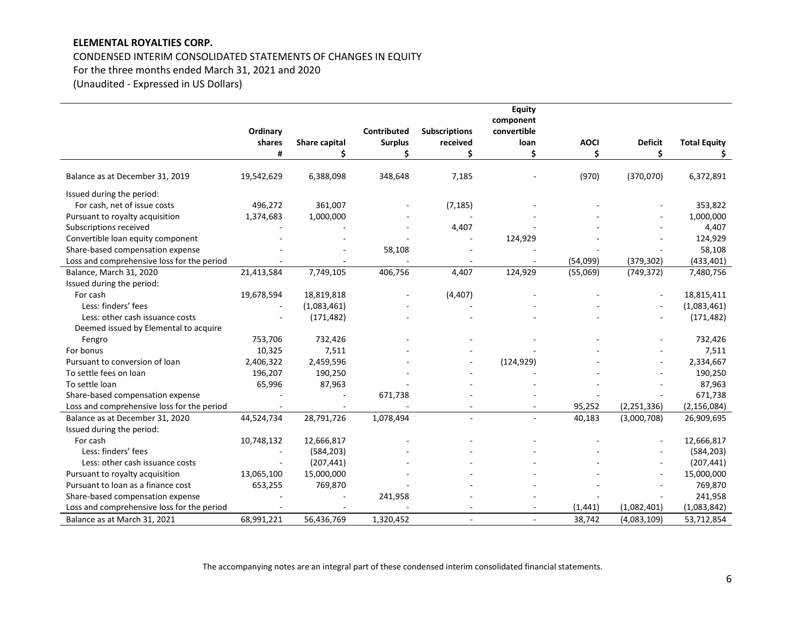# CONDENSED INTERIM CONSOLIDATED STATEMENTS OF CHANGES IN EQUITY

For the three months ended March 31, 2021 and 2020

(Unaudited - Expressed in US Dollars)

|                                            |            |               |                |                      | Equity      |             |                |                     |
|--------------------------------------------|------------|---------------|----------------|----------------------|-------------|-------------|----------------|---------------------|
|                                            |            |               |                |                      | component   |             |                |                     |
|                                            | Ordinary   |               | Contributed    | <b>Subscriptions</b> | convertible |             |                |                     |
|                                            | shares     | Share capital | <b>Surplus</b> | received             | loan        | <b>AOCI</b> | <b>Deficit</b> | <b>Total Equity</b> |
|                                            | #          | \$            | Ś              | Ś                    | Ś           | Ś           | \$             | Ś.                  |
|                                            |            |               |                |                      |             |             |                |                     |
| Balance as at December 31, 2019            | 19,542,629 | 6,388,098     | 348,648        | 7,185                |             | (970)       | (370,070)      | 6,372,891           |
| Issued during the period:                  |            |               |                |                      |             |             |                |                     |
| For cash, net of issue costs               | 496,272    | 361,007       |                | (7, 185)             |             |             |                | 353,822             |
| Pursuant to royalty acquisition            | 1,374,683  | 1,000,000     |                |                      |             |             |                | 1,000,000           |
| Subscriptions received                     |            |               |                | 4,407                |             |             |                | 4,407               |
| Convertible loan equity component          |            |               |                |                      | 124,929     |             |                | 124,929             |
| Share-based compensation expense           |            |               | 58,108         |                      |             |             |                | 58,108              |
| Loss and comprehensive loss for the period |            |               |                |                      |             | (54,099)    | (379, 302)     | (433, 401)          |
| Balance, March 31, 2020                    | 21,413,584 | 7,749,105     | 406,756        | 4,407                | 124,929     | (55,069)    | (749, 372)     | 7,480,756           |
| Issued during the period:                  |            |               |                |                      |             |             |                |                     |
| For cash                                   | 19,678,594 | 18,819,818    |                | (4, 407)             |             |             |                | 18,815,411          |
| Less: finders' fees                        |            | (1,083,461)   |                |                      |             |             |                | (1,083,461)         |
| Less: other cash issuance costs            |            | (171, 482)    |                |                      |             |             |                | (171, 482)          |
| Deemed issued by Elemental to acquire      |            |               |                |                      |             |             |                |                     |
| Fengro                                     | 753,706    | 732,426       |                |                      |             |             |                | 732,426             |
| For bonus                                  | 10,325     | 7,511         |                |                      |             |             |                | 7,511               |
| Pursuant to conversion of loan             | 2,406,322  | 2,459,596     |                |                      | (124, 929)  |             |                | 2,334,667           |
| To settle fees on loan                     | 196,207    | 190,250       |                |                      |             |             |                | 190,250             |
| To settle loan                             | 65,996     | 87,963        |                |                      |             |             |                | 87,963              |
| Share-based compensation expense           |            |               | 671,738        |                      |             |             |                | 671,738             |
| Loss and comprehensive loss for the period |            |               |                |                      |             | 95,252      | (2, 251, 336)  | (2, 156, 084)       |
| Balance as at December 31, 2020            | 44,524,734 | 28,791,726    | 1,078,494      |                      | $\sim$      | 40,183      | (3,000,708)    | 26,909,695          |
| Issued during the period:                  |            |               |                |                      |             |             |                |                     |
| For cash                                   | 10,748,132 | 12,666,817    |                |                      |             |             |                | 12,666,817          |
| Less: finders' fees                        |            | (584, 203)    |                |                      |             |             |                | (584, 203)          |
| Less: other cash issuance costs            |            | (207, 441)    |                |                      |             |             |                | (207, 441)          |
| Pursuant to royalty acquisition            | 13,065,100 | 15,000,000    |                |                      |             |             |                | 15,000,000          |
| Pursuant to loan as a finance cost         | 653,255    | 769,870       |                |                      |             |             |                | 769,870             |
| Share-based compensation expense           |            |               | 241,958        |                      |             |             |                | 241,958             |
| Loss and comprehensive loss for the period |            |               |                |                      |             | (1, 441)    | (1,082,401)    | (1,083,842)         |
| Balance as at March 31, 2021               | 68,991,221 | 56,436,769    | 1,320,452      |                      | ÷.          | 38,742      | (4,083,109)    | 53,712,854          |

The accompanying notes are an integral part of these condensed interim consolidated financial statements.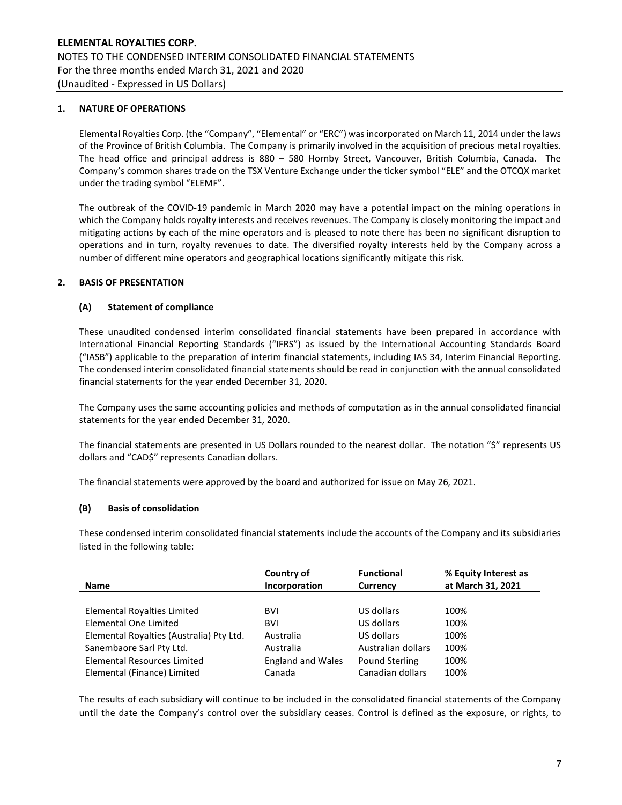## 1. NATURE OF OPERATIONS

Elemental Royalties Corp. (the "Company", "Elemental" or "ERC") was incorporated on March 11, 2014 under the laws of the Province of British Columbia. The Company is primarily involved in the acquisition of precious metal royalties. The head office and principal address is 880 – 580 Hornby Street, Vancouver, British Columbia, Canada. The Company's common shares trade on the TSX Venture Exchange under the ticker symbol "ELE" and the OTCQX market under the trading symbol "ELEMF".

The outbreak of the COVID-19 pandemic in March 2020 may have a potential impact on the mining operations in which the Company holds royalty interests and receives revenues. The Company is closely monitoring the impact and mitigating actions by each of the mine operators and is pleased to note there has been no significant disruption to operations and in turn, royalty revenues to date. The diversified royalty interests held by the Company across a number of different mine operators and geographical locations significantly mitigate this risk.

## 2. BASIS OF PRESENTATION

## (A) Statement of compliance

These unaudited condensed interim consolidated financial statements have been prepared in accordance with International Financial Reporting Standards ("IFRS") as issued by the International Accounting Standards Board ("IASB") applicable to the preparation of interim financial statements, including IAS 34, Interim Financial Reporting. The condensed interim consolidated financial statements should be read in conjunction with the annual consolidated financial statements for the year ended December 31, 2020.

The Company uses the same accounting policies and methods of computation as in the annual consolidated financial statements for the year ended December 31, 2020.

The financial statements are presented in US Dollars rounded to the nearest dollar. The notation "\$" represents US dollars and "CAD\$" represents Canadian dollars.

The financial statements were approved by the board and authorized for issue on May 26, 2021.

### (B) Basis of consolidation

These condensed interim consolidated financial statements include the accounts of the Company and its subsidiaries listed in the following table:

|                                          | Country of               | <b>Functional</b>  | % Equity Interest as |
|------------------------------------------|--------------------------|--------------------|----------------------|
| <b>Name</b>                              | Incorporation            | <b>Currency</b>    | at March 31, 2021    |
|                                          |                          |                    |                      |
| Elemental Royalties Limited              | <b>BVI</b>               | US dollars         | 100%                 |
| Elemental One Limited                    | <b>BVI</b>               | US dollars         | 100%                 |
| Elemental Royalties (Australia) Pty Ltd. | Australia                | US dollars         | 100%                 |
| Sanembaore Sarl Pty Ltd.                 | Australia                | Australian dollars | 100%                 |
| Elemental Resources Limited              | <b>England and Wales</b> | Pound Sterling     | 100%                 |
| Elemental (Finance) Limited              | Canada                   | Canadian dollars   | 100%                 |

The results of each subsidiary will continue to be included in the consolidated financial statements of the Company until the date the Company's control over the subsidiary ceases. Control is defined as the exposure, or rights, to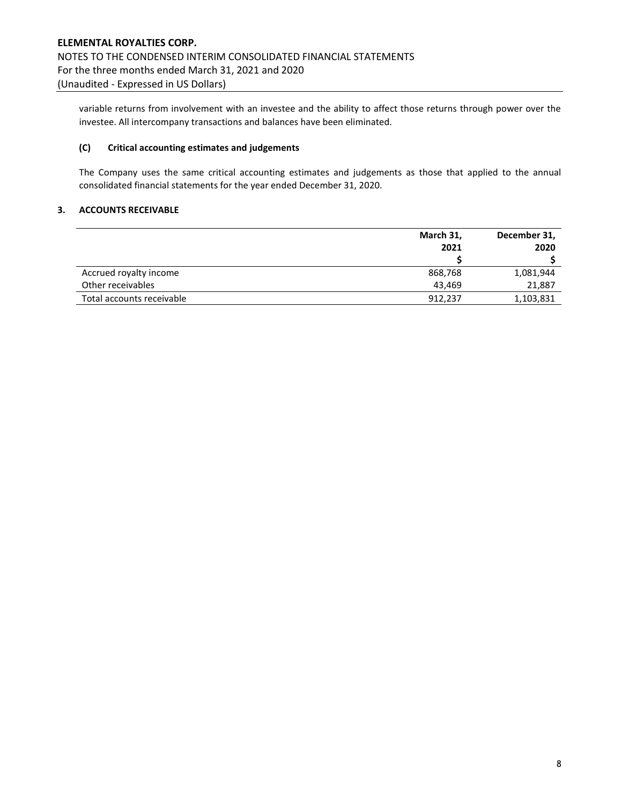variable returns from involvement with an investee and the ability to affect those returns through power over the investee. All intercompany transactions and balances have been eliminated.

## (C) Critical accounting estimates and judgements

The Company uses the same critical accounting estimates and judgements as those that applied to the annual consolidated financial statements for the year ended December 31, 2020.

### 3. ACCOUNTS RECEIVABLE

|                           | March 31, | December 31, |
|---------------------------|-----------|--------------|
|                           | 2021      | 2020         |
|                           |           |              |
| Accrued royalty income    | 868,768   | 1,081,944    |
| Other receivables         | 43.469    | 21,887       |
| Total accounts receivable | 912,237   | 1,103,831    |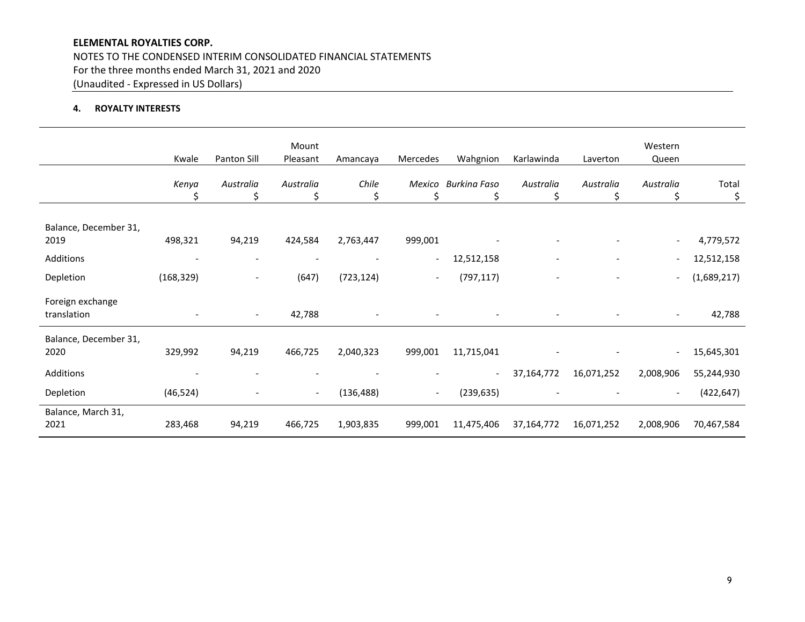NOTES TO THE CONDENSED INTERIM CONSOLIDATED FINANCIAL STATEMENTS For the three months ended March 31, 2021 and 2020 (Unaudited - Expressed in US Dollars)

# 4. ROYALTY INTERESTS

|                                 | Kwale      | Panton Sill              | Mount<br>Pleasant        | Amancaya    | Mercedes                 | Wahgnion                 | Karlawinda      | Laverton                 | Western<br>Queen         |             |
|---------------------------------|------------|--------------------------|--------------------------|-------------|--------------------------|--------------------------|-----------------|--------------------------|--------------------------|-------------|
|                                 | Kenya<br>Ś | Australia<br>\$          | Australia<br>\$          | Chile<br>\$ | Mexico<br>\$             | Burkina Faso<br>\$       | Australia<br>\$ | Australia<br>\$          | Australia<br>\$          | Total<br>\$ |
| Balance, December 31,<br>2019   | 498,321    | 94,219                   | 424,584                  | 2,763,447   | 999,001                  |                          |                 |                          |                          | 4,779,572   |
| Additions                       |            | $\overline{\phantom{0}}$ |                          |             | $\overline{\phantom{a}}$ | 12,512,158               |                 | $\overline{\phantom{a}}$ |                          | 12,512,158  |
| Depletion                       | (168, 329) | $\overline{\phantom{a}}$ | (647)                    | (723, 124)  | $\overline{\phantom{a}}$ | (797, 117)               |                 | $\overline{\phantom{a}}$ |                          | (1,689,217) |
| Foreign exchange<br>translation |            | $\overline{\phantom{a}}$ | 42,788                   |             |                          |                          |                 |                          | $\overline{\phantom{a}}$ | 42,788      |
| Balance, December 31,<br>2020   | 329,992    | 94,219                   | 466,725                  | 2,040,323   | 999,001                  | 11,715,041               |                 |                          | $\overline{\phantom{a}}$ | 15,645,301  |
| Additions                       |            | $\overline{\phantom{a}}$ |                          |             |                          | $\overline{\phantom{a}}$ | 37,164,772      | 16,071,252               | 2,008,906                | 55,244,930  |
| Depletion                       | (46, 524)  |                          | $\overline{\phantom{a}}$ | (136, 488)  | $\sim$                   | (239, 635)               |                 |                          |                          | (422, 647)  |
| Balance, March 31,<br>2021      | 283,468    | 94,219                   | 466,725                  | 1,903,835   | 999,001                  | 11,475,406               | 37,164,772      | 16,071,252               | 2,008,906                | 70,467,584  |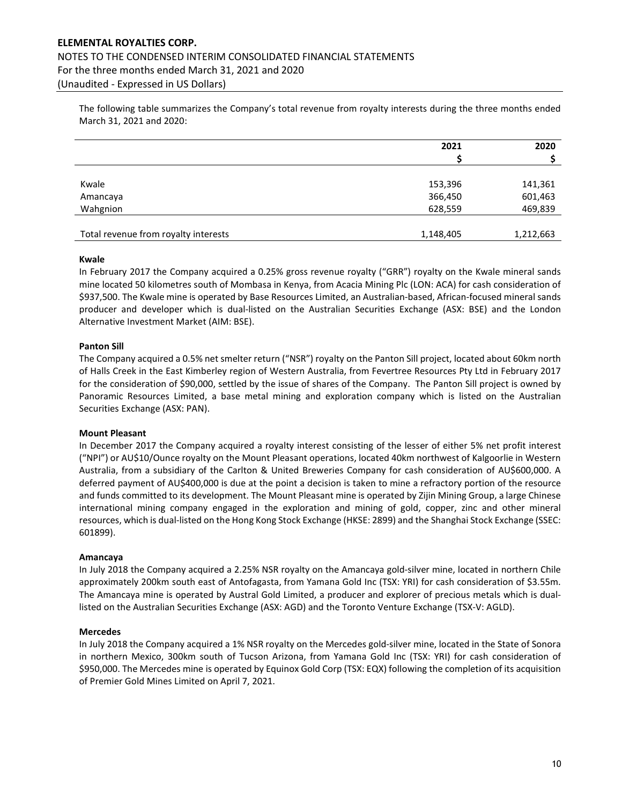# ELEMENTAL ROYALTIES CORP. NOTES TO THE CONDENSED INTERIM CONSOLIDATED FINANCIAL STATEMENTS For the three months ended March 31, 2021 and 2020 (Unaudited - Expressed in US Dollars)

The following table summarizes the Company's total revenue from royalty interests during the three months ended March 31, 2021 and 2020:

|                                      | 2021               | 2020               |
|--------------------------------------|--------------------|--------------------|
| Kwale                                |                    |                    |
| Amancaya                             | 153,396<br>366,450 | 141,361<br>601,463 |
| Wahgnion                             | 628,559            | 469,839            |
|                                      |                    |                    |
| Total revenue from royalty interests | 1,148,405          | 1,212,663          |

#### Kwale

In February 2017 the Company acquired a 0.25% gross revenue royalty ("GRR") royalty on the Kwale mineral sands mine located 50 kilometres south of Mombasa in Kenya, from Acacia Mining Plc (LON: ACA) for cash consideration of \$937,500. The Kwale mine is operated by Base Resources Limited, an Australian-based, African-focused mineral sands producer and developer which is dual-listed on the Australian Securities Exchange (ASX: BSE) and the London Alternative Investment Market (AIM: BSE).

### Panton Sill

The Company acquired a 0.5% net smelter return ("NSR") royalty on the Panton Sill project, located about 60km north of Halls Creek in the East Kimberley region of Western Australia, from Fevertree Resources Pty Ltd in February 2017 for the consideration of \$90,000, settled by the issue of shares of the Company. The Panton Sill project is owned by Panoramic Resources Limited, a base metal mining and exploration company which is listed on the Australian Securities Exchange (ASX: PAN).

#### Mount Pleasant

In December 2017 the Company acquired a royalty interest consisting of the lesser of either 5% net profit interest ("NPI") or AU\$10/Ounce royalty on the Mount Pleasant operations, located 40km northwest of Kalgoorlie in Western Australia, from a subsidiary of the Carlton & United Breweries Company for cash consideration of AU\$600,000. A deferred payment of AU\$400,000 is due at the point a decision is taken to mine a refractory portion of the resource and funds committed to its development. The Mount Pleasant mine is operated by Zijin Mining Group, a large Chinese international mining company engaged in the exploration and mining of gold, copper, zinc and other mineral resources, which is dual-listed on the Hong Kong Stock Exchange (HKSE: 2899) and the Shanghai Stock Exchange (SSEC: 601899).

#### Amancaya

In July 2018 the Company acquired a 2.25% NSR royalty on the Amancaya gold-silver mine, located in northern Chile approximately 200km south east of Antofagasta, from Yamana Gold Inc (TSX: YRI) for cash consideration of \$3.55m. The Amancaya mine is operated by Austral Gold Limited, a producer and explorer of precious metals which is duallisted on the Australian Securities Exchange (ASX: AGD) and the Toronto Venture Exchange (TSX-V: AGLD).

#### Mercedes

In July 2018 the Company acquired a 1% NSR royalty on the Mercedes gold-silver mine, located in the State of Sonora in northern Mexico, 300km south of Tucson Arizona, from Yamana Gold Inc (TSX: YRI) for cash consideration of \$950,000. The Mercedes mine is operated by Equinox Gold Corp (TSX: EQX) following the completion of its acquisition of Premier Gold Mines Limited on April 7, 2021.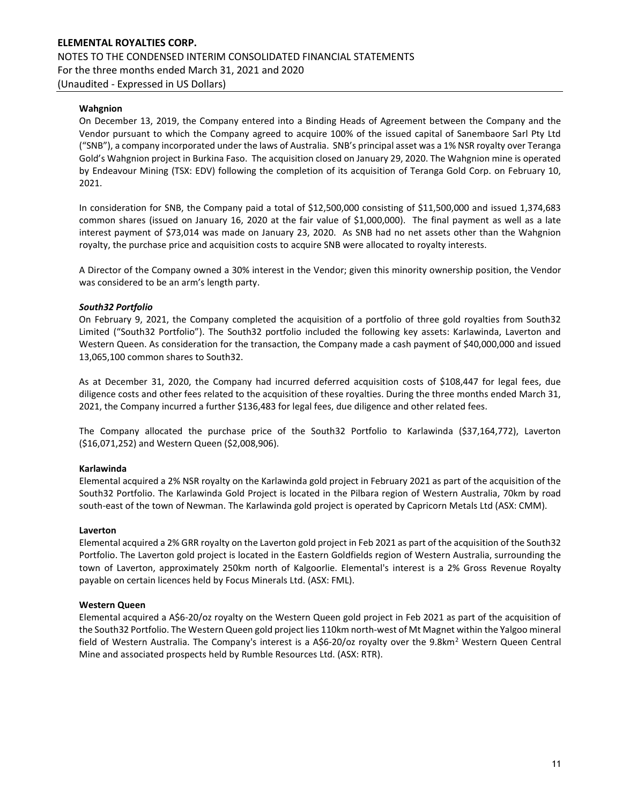# Wahgnion

On December 13, 2019, the Company entered into a Binding Heads of Agreement between the Company and the Vendor pursuant to which the Company agreed to acquire 100% of the issued capital of Sanembaore Sarl Pty Ltd ("SNB"), a company incorporated under the laws of Australia. SNB's principal asset was a 1% NSR royalty over Teranga Gold's Wahgnion project in Burkina Faso. The acquisition closed on January 29, 2020. The Wahgnion mine is operated by Endeavour Mining (TSX: EDV) following the completion of its acquisition of Teranga Gold Corp. on February 10, 2021.

In consideration for SNB, the Company paid a total of \$12,500,000 consisting of \$11,500,000 and issued 1,374,683 common shares (issued on January 16, 2020 at the fair value of \$1,000,000). The final payment as well as a late interest payment of \$73,014 was made on January 23, 2020. As SNB had no net assets other than the Wahgnion royalty, the purchase price and acquisition costs to acquire SNB were allocated to royalty interests.

A Director of the Company owned a 30% interest in the Vendor; given this minority ownership position, the Vendor was considered to be an arm's length party.

### South32 Portfolio

On February 9, 2021, the Company completed the acquisition of a portfolio of three gold royalties from South32 Limited ("South32 Portfolio"). The South32 portfolio included the following key assets: Karlawinda, Laverton and Western Queen. As consideration for the transaction, the Company made a cash payment of \$40,000,000 and issued 13,065,100 common shares to South32.

As at December 31, 2020, the Company had incurred deferred acquisition costs of \$108,447 for legal fees, due diligence costs and other fees related to the acquisition of these royalties. During the three months ended March 31, 2021, the Company incurred a further \$136,483 for legal fees, due diligence and other related fees.

The Company allocated the purchase price of the South32 Portfolio to Karlawinda (\$37,164,772), Laverton (\$16,071,252) and Western Queen (\$2,008,906).

## Karlawinda

Elemental acquired a 2% NSR royalty on the Karlawinda gold project in February 2021 as part of the acquisition of the South32 Portfolio. The Karlawinda Gold Project is located in the Pilbara region of Western Australia, 70km by road south-east of the town of Newman. The Karlawinda gold project is operated by Capricorn Metals Ltd (ASX: CMM).

#### Laverton

Elemental acquired a 2% GRR royalty on the Laverton gold project in Feb 2021 as part of the acquisition of the South32 Portfolio. The Laverton gold project is located in the Eastern Goldfields region of Western Australia, surrounding the town of Laverton, approximately 250km north of Kalgoorlie. Elemental's interest is a 2% Gross Revenue Royalty payable on certain licences held by Focus Minerals Ltd. (ASX: FML).

## Western Queen

Elemental acquired a A\$6-20/oz royalty on the Western Queen gold project in Feb 2021 as part of the acquisition of the South32 Portfolio. The Western Queen gold project lies 110km north-west of Mt Magnet within the Yalgoo mineral field of Western Australia. The Company's interest is a A\$6-20/oz royalty over the 9.8km<sup>2</sup> Western Queen Central Mine and associated prospects held by Rumble Resources Ltd. (ASX: RTR).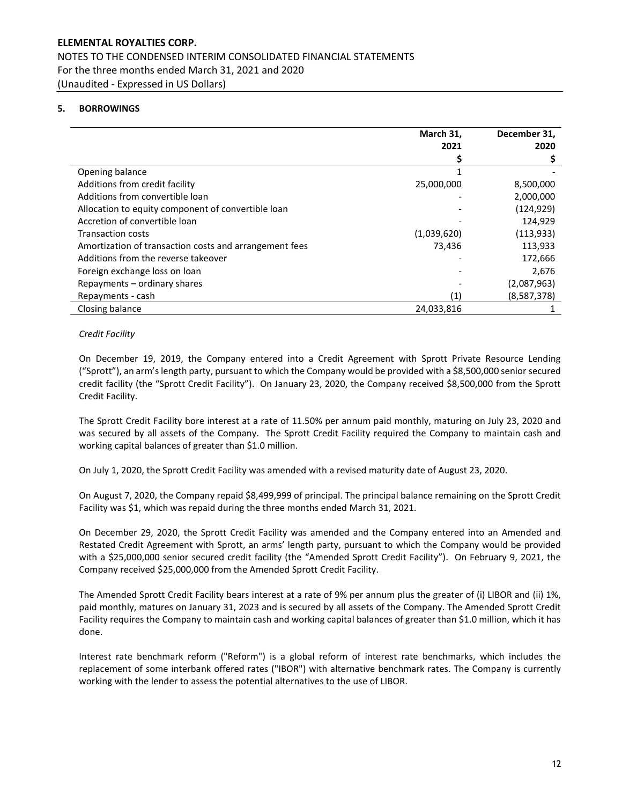# 5. BORROWINGS

|                                                        | March 31,   | December 31, |
|--------------------------------------------------------|-------------|--------------|
|                                                        | 2021        | 2020         |
|                                                        |             |              |
| Opening balance                                        |             |              |
| Additions from credit facility                         | 25,000,000  | 8,500,000    |
| Additions from convertible loan                        |             | 2,000,000    |
| Allocation to equity component of convertible loan     |             | (124, 929)   |
| Accretion of convertible loan                          |             | 124,929      |
| <b>Transaction costs</b>                               | (1,039,620) | (113, 933)   |
| Amortization of transaction costs and arrangement fees | 73,436      | 113,933      |
| Additions from the reverse takeover                    |             | 172,666      |
| Foreign exchange loss on loan                          |             | 2,676        |
| Repayments – ordinary shares                           |             | (2,087,963)  |
| Repayments - cash                                      | (1)         | (8,587,378)  |
| Closing balance                                        | 24,033,816  |              |

### Credit Facility

On December 19, 2019, the Company entered into a Credit Agreement with Sprott Private Resource Lending ("Sprott"), an arm's length party, pursuant to which the Company would be provided with a \$8,500,000 senior secured credit facility (the "Sprott Credit Facility"). On January 23, 2020, the Company received \$8,500,000 from the Sprott Credit Facility.

The Sprott Credit Facility bore interest at a rate of 11.50% per annum paid monthly, maturing on July 23, 2020 and was secured by all assets of the Company. The Sprott Credit Facility required the Company to maintain cash and working capital balances of greater than \$1.0 million.

On July 1, 2020, the Sprott Credit Facility was amended with a revised maturity date of August 23, 2020.

On August 7, 2020, the Company repaid \$8,499,999 of principal. The principal balance remaining on the Sprott Credit Facility was \$1, which was repaid during the three months ended March 31, 2021.

On December 29, 2020, the Sprott Credit Facility was amended and the Company entered into an Amended and Restated Credit Agreement with Sprott, an arms' length party, pursuant to which the Company would be provided with a \$25,000,000 senior secured credit facility (the "Amended Sprott Credit Facility"). On February 9, 2021, the Company received \$25,000,000 from the Amended Sprott Credit Facility.

The Amended Sprott Credit Facility bears interest at a rate of 9% per annum plus the greater of (i) LIBOR and (ii) 1%, paid monthly, matures on January 31, 2023 and is secured by all assets of the Company. The Amended Sprott Credit Facility requires the Company to maintain cash and working capital balances of greater than \$1.0 million, which it has done.

Interest rate benchmark reform ("Reform") is a global reform of interest rate benchmarks, which includes the replacement of some interbank offered rates ("IBOR") with alternative benchmark rates. The Company is currently working with the lender to assess the potential alternatives to the use of LIBOR.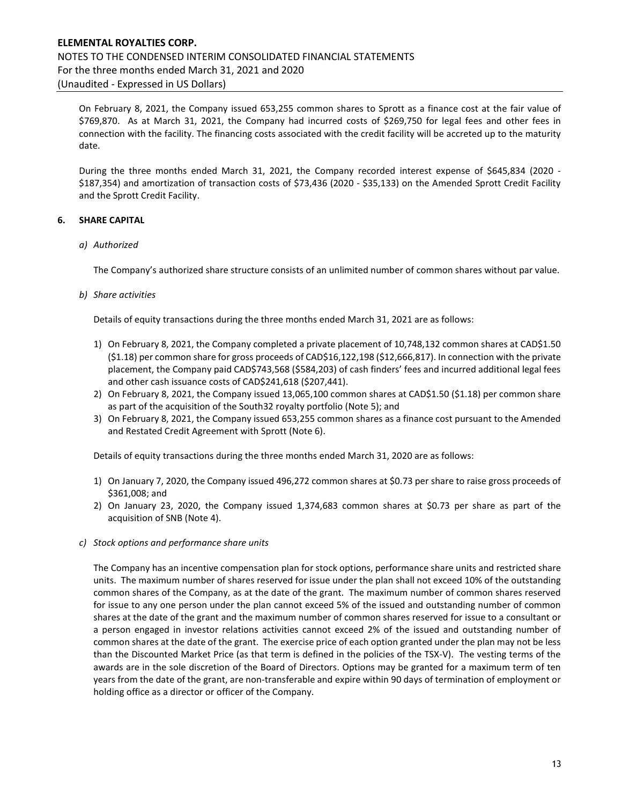# ELEMENTAL ROYALTIES CORP. NOTES TO THE CONDENSED INTERIM CONSOLIDATED FINANCIAL STATEMENTS For the three months ended March 31, 2021 and 2020 (Unaudited - Expressed in US Dollars)

On February 8, 2021, the Company issued 653,255 common shares to Sprott as a finance cost at the fair value of \$769,870. As at March 31, 2021, the Company had incurred costs of \$269,750 for legal fees and other fees in connection with the facility. The financing costs associated with the credit facility will be accreted up to the maturity date.

During the three months ended March 31, 2021, the Company recorded interest expense of \$645,834 (2020 - \$187,354) and amortization of transaction costs of \$73,436 (2020 - \$35,133) on the Amended Sprott Credit Facility and the Sprott Credit Facility.

# 6. SHARE CAPITAL

## a) Authorized

The Company's authorized share structure consists of an unlimited number of common shares without par value.

## b) Share activities

Details of equity transactions during the three months ended March 31, 2021 are as follows:

- 1) On February 8, 2021, the Company completed a private placement of 10,748,132 common shares at CAD\$1.50 (\$1.18) per common share for gross proceeds of CAD\$16,122,198 (\$12,666,817). In connection with the private placement, the Company paid CAD\$743,568 (\$584,203) of cash finders' fees and incurred additional legal fees and other cash issuance costs of CAD\$241,618 (\$207,441).
- 2) On February 8, 2021, the Company issued 13,065,100 common shares at CAD\$1.50 (\$1.18) per common share as part of the acquisition of the South32 royalty portfolio (Note 5); and
- 3) On February 8, 2021, the Company issued 653,255 common shares as a finance cost pursuant to the Amended and Restated Credit Agreement with Sprott (Note 6).

Details of equity transactions during the three months ended March 31, 2020 are as follows:

- 1) On January 7, 2020, the Company issued 496,272 common shares at \$0.73 per share to raise gross proceeds of \$361,008; and
- 2) On January 23, 2020, the Company issued 1,374,683 common shares at \$0.73 per share as part of the acquisition of SNB (Note 4).
- c) Stock options and performance share units

The Company has an incentive compensation plan for stock options, performance share units and restricted share units. The maximum number of shares reserved for issue under the plan shall not exceed 10% of the outstanding common shares of the Company, as at the date of the grant. The maximum number of common shares reserved for issue to any one person under the plan cannot exceed 5% of the issued and outstanding number of common shares at the date of the grant and the maximum number of common shares reserved for issue to a consultant or a person engaged in investor relations activities cannot exceed 2% of the issued and outstanding number of common shares at the date of the grant. The exercise price of each option granted under the plan may not be less than the Discounted Market Price (as that term is defined in the policies of the TSX-V). The vesting terms of the awards are in the sole discretion of the Board of Directors. Options may be granted for a maximum term of ten years from the date of the grant, are non-transferable and expire within 90 days of termination of employment or holding office as a director or officer of the Company.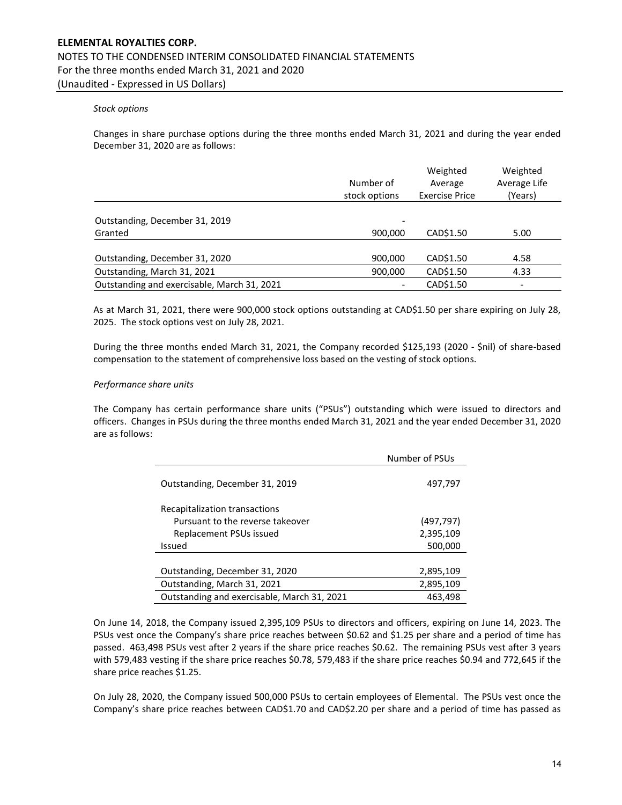### Stock options

Changes in share purchase options during the three months ended March 31, 2021 and during the year ended December 31, 2020 are as follows:

|                                             | Number of<br>stock options | Weighted<br>Average<br><b>Exercise Price</b> | Weighted<br>Average Life<br>(Years) |
|---------------------------------------------|----------------------------|----------------------------------------------|-------------------------------------|
| Outstanding, December 31, 2019              | -                          |                                              |                                     |
| Granted                                     | 900,000                    | CAD\$1.50                                    | 5.00                                |
|                                             |                            |                                              |                                     |
| Outstanding, December 31, 2020              | 900,000                    | CAD\$1.50                                    | 4.58                                |
| Outstanding, March 31, 2021                 | 900,000                    | CAD\$1.50                                    | 4.33                                |
| Outstanding and exercisable, March 31, 2021 |                            | CAD\$1.50                                    | $\overline{\phantom{a}}$            |

As at March 31, 2021, there were 900,000 stock options outstanding at CAD\$1.50 per share expiring on July 28, 2025. The stock options vest on July 28, 2021.

During the three months ended March 31, 2021, the Company recorded \$125,193 (2020 - \$nil) of share-based compensation to the statement of comprehensive loss based on the vesting of stock options.

#### Performance share units

The Company has certain performance share units ("PSUs") outstanding which were issued to directors and officers. Changes in PSUs during the three months ended March 31, 2021 and the year ended December 31, 2020 are as follows:

|                                             | Number of PSUs |
|---------------------------------------------|----------------|
| Outstanding, December 31, 2019              | 497,797        |
| Recapitalization transactions               |                |
| Pursuant to the reverse takeover            | (497, 797)     |
| Replacement PSUs issued                     | 2,395,109      |
| <b>Issued</b>                               | 500,000        |
|                                             |                |
| Outstanding, December 31, 2020              | 2,895,109      |
| Outstanding, March 31, 2021                 | 2,895,109      |
| Outstanding and exercisable, March 31, 2021 | 463,498        |

On June 14, 2018, the Company issued 2,395,109 PSUs to directors and officers, expiring on June 14, 2023. The PSUs vest once the Company's share price reaches between \$0.62 and \$1.25 per share and a period of time has passed. 463,498 PSUs vest after 2 years if the share price reaches \$0.62. The remaining PSUs vest after 3 years with 579,483 vesting if the share price reaches \$0.78, 579,483 if the share price reaches \$0.94 and 772,645 if the share price reaches \$1.25.

On July 28, 2020, the Company issued 500,000 PSUs to certain employees of Elemental. The PSUs vest once the Company's share price reaches between CAD\$1.70 and CAD\$2.20 per share and a period of time has passed as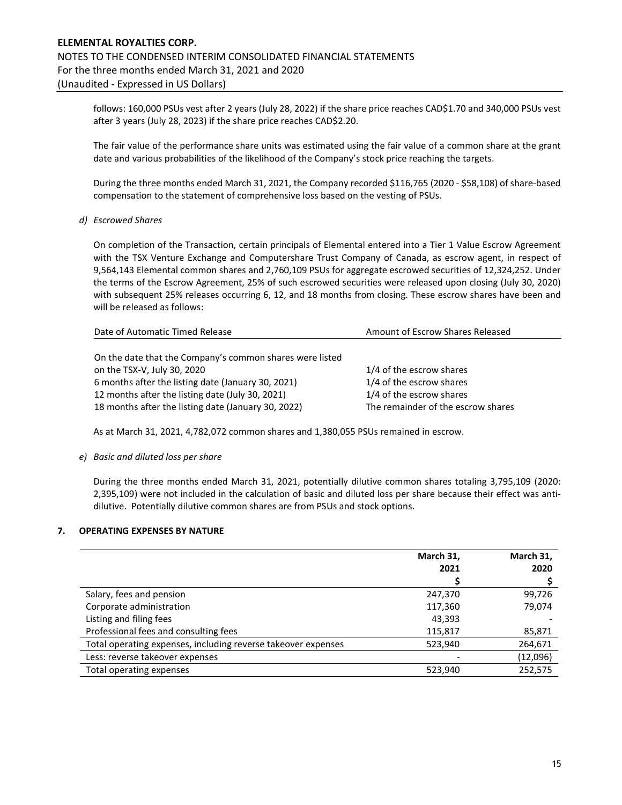follows: 160,000 PSUs vest after 2 years (July 28, 2022) if the share price reaches CAD\$1.70 and 340,000 PSUs vest after 3 years (July 28, 2023) if the share price reaches CAD\$2.20.

The fair value of the performance share units was estimated using the fair value of a common share at the grant date and various probabilities of the likelihood of the Company's stock price reaching the targets.

During the three months ended March 31, 2021, the Company recorded \$116,765 (2020 - \$58,108) of share-based compensation to the statement of comprehensive loss based on the vesting of PSUs.

#### d) Escrowed Shares

On completion of the Transaction, certain principals of Elemental entered into a Tier 1 Value Escrow Agreement with the TSX Venture Exchange and Computershare Trust Company of Canada, as escrow agent, in respect of 9,564,143 Elemental common shares and 2,760,109 PSUs for aggregate escrowed securities of 12,324,252. Under the terms of the Escrow Agreement, 25% of such escrowed securities were released upon closing (July 30, 2020) with subsequent 25% releases occurring 6, 12, and 18 months from closing. These escrow shares have been and will be released as follows:

| Date of Automatic Timed Release                          | Amount of Escrow Shares Released   |  |
|----------------------------------------------------------|------------------------------------|--|
|                                                          |                                    |  |
| On the date that the Company's common shares were listed |                                    |  |
| on the TSX-V, July 30, 2020                              | 1/4 of the escrow shares           |  |
| 6 months after the listing date (January 30, 2021)       | 1/4 of the escrow shares           |  |
| 12 months after the listing date (July 30, 2021)         | 1/4 of the escrow shares           |  |
| 18 months after the listing date (January 30, 2022)      | The remainder of the escrow shares |  |

As at March 31, 2021, 4,782,072 common shares and 1,380,055 PSUs remained in escrow.

#### e) Basic and diluted loss per share

During the three months ended March 31, 2021, potentially dilutive common shares totaling 3,795,109 (2020: 2,395,109) were not included in the calculation of basic and diluted loss per share because their effect was antidilutive. Potentially dilutive common shares are from PSUs and stock options.

#### 7. OPERATING EXPENSES BY NATURE

|                                                               | March 31,<br>2021 | March 31,<br>2020 |
|---------------------------------------------------------------|-------------------|-------------------|
| Salary, fees and pension                                      | 247,370           | 99,726            |
| Corporate administration                                      | 117,360           | 79,074            |
| Listing and filing fees                                       | 43,393            |                   |
| Professional fees and consulting fees                         | 115,817           | 85,871            |
| Total operating expenses, including reverse takeover expenses | 523,940           | 264,671           |
| Less: reverse takeover expenses                               |                   | (12,096)          |
| Total operating expenses                                      | 523,940           | 252,575           |